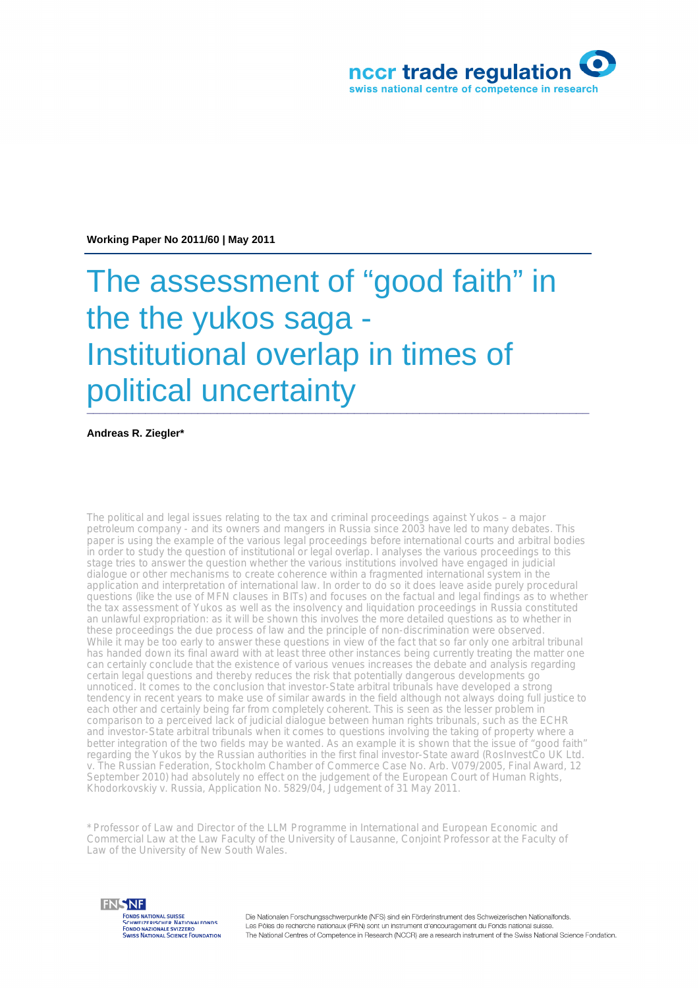

**Working Paper No 2011/60 | May 2011**

# The assessment of "good faith" in the the yukos saga - Institutional overlap in times of political uncertainty

**Andreas R. Ziegler\***

The political and legal issues relating to the tax and criminal proceedings against Yukos – a major petroleum company - and its owners and mangers in Russia since 2003 have led to many debates. This paper is using the example of the various legal proceedings before international courts and arbitral bodies in order to study the question of institutional or legal overlap. I analyses the various proceedings to this stage tries to answer the question whether the various institutions involved have engaged in judicial dialogue or other mechanisms to create coherence within a fragmented international system in the application and interpretation of international law. In order to do so it does leave aside purely procedural questions (like the use of MFN clauses in BITs) and focuses on the factual and legal findings as to whether the tax assessment of Yukos as well as the insolvency and liquidation proceedings in Russia constituted an unlawful expropriation: as it will be shown this involves the more detailed questions as to whether in these proceedings the due process of law and the principle of non-discrimination were observed. While it may be too early to answer these questions in view of the fact that so far only one arbitral tribunal has handed down its final award with at least three other instances being currently treating the matter one can certainly conclude that the existence of various venues increases the debate and analysis regarding certain legal questions and thereby reduces the risk that potentially dangerous developments go unnoticed. It comes to the conclusion that investor-State arbitral tribunals have developed a strong tendency in recent years to make use of similar awards in the field although not always doing full justice to each other and certainly being far from completely coherent. This is seen as the lesser problem in comparison to a perceived lack of judicial dialogue between human rights tribunals, such as the ECHR and investor-State arbitral tribunals when it comes to questions involving the taking of property where a better integration of the two fields may be wanted. As an example it is shown that the issue of "good faith" regarding the Yukos by the Russian authorities in the first final investor-State award (RosInvestCo UK Ltd. v. The Russian Federation, Stockholm Chamber of Commerce Case No. Arb. V079/2005, Final Award, 12 September 2010) had absolutely no effect on the judgement of the European Court of Human Rights, Khodorkovskiy v. Russia, Application No. 5829/04, Judgement of 31 May 2011.

\* Professor of Law and Director of the LLM Programme in International and European Economic and Commercial Law at the Law Faculty of the University of Lausanne, Conjoint Professor at the Faculty of Law of the University of New South Wales.



Die Nationalen Forschungsschwerpunkte (NFS) sind ein Förderinstrument des Schweizerischen Nationalfonds. Les Pôles de recherche nationaux (PRN) sont un instrument d'encouragement du Fonds national suiss The National Centres of Competence in Research (NCCR) are a research instrument of the Swiss National Science Fondation.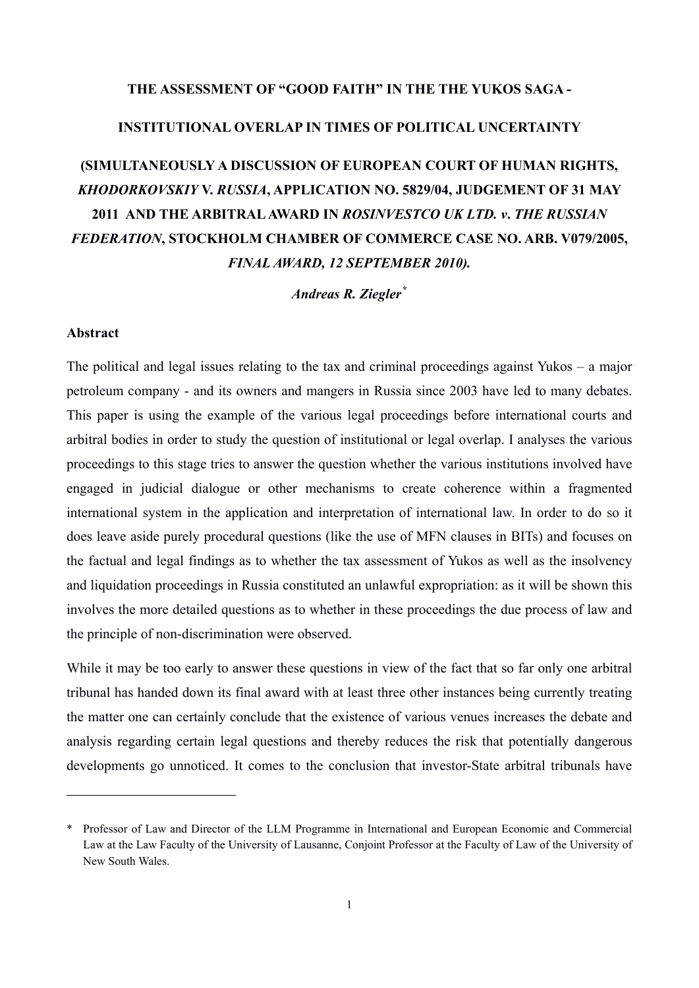# **THE ASSESSMENT OF "GOOD FAITH" IN THE THE YUKOS SAGA -**

# **INSTITUTIONAL OVERLAP IN TIMES OF POLITICAL UNCERTAINTY**

# **(SIMULTANEOUSLY A DISCUSSION OF EUROPEAN COURT OF HUMAN RIGHTS,**  *KHODORKOVSKIY* **V.** *RUSSIA***, APPLICATION NO. 5829/04, JUDGEMENT OF 31 MAY 2011 AND THE ARBITRAL AWARD IN** *ROSINVESTCO UK LTD. v***.** *THE RUSSIAN FEDERATION***, STOCKHOLM CHAMBER OF COMMERCE CASE NO. ARB. V079/2005,**  *FINAL AWARD, 12 SEPTEMBER 2010).*

*Andreas R. Ziegler[\\*](#page-1-0)*

#### **Abstract**

 $\overline{a}$ 

The political and legal issues relating to the tax and criminal proceedings against Yukos – a major petroleum company - and its owners and mangers in Russia since 2003 have led to many debates. This paper is using the example of the various legal proceedings before international courts and arbitral bodies in order to study the question of institutional or legal overlap. I analyses the various proceedings to this stage tries to answer the question whether the various institutions involved have engaged in judicial dialogue or other mechanisms to create coherence within a fragmented international system in the application and interpretation of international law. In order to do so it does leave aside purely procedural questions (like the use of MFN clauses in BITs) and focuses on the factual and legal findings as to whether the tax assessment of Yukos as well as the insolvency and liquidation proceedings in Russia constituted an unlawful expropriation: as it will be shown this involves the more detailed questions as to whether in these proceedings the due process of law and the principle of non-discrimination were observed.

While it may be too early to answer these questions in view of the fact that so far only one arbitral tribunal has handed down its final award with at least three other instances being currently treating the matter one can certainly conclude that the existence of various venues increases the debate and analysis regarding certain legal questions and thereby reduces the risk that potentially dangerous developments go unnoticed. It comes to the conclusion that investor-State arbitral tribunals have

<span id="page-1-0"></span><sup>\*</sup> Professor of Law and Director of the LLM Programme in International and European Economic and Commercial Law at the Law Faculty of the University of Lausanne, Conjoint Professor at the Faculty of Law of the University of New South Wales.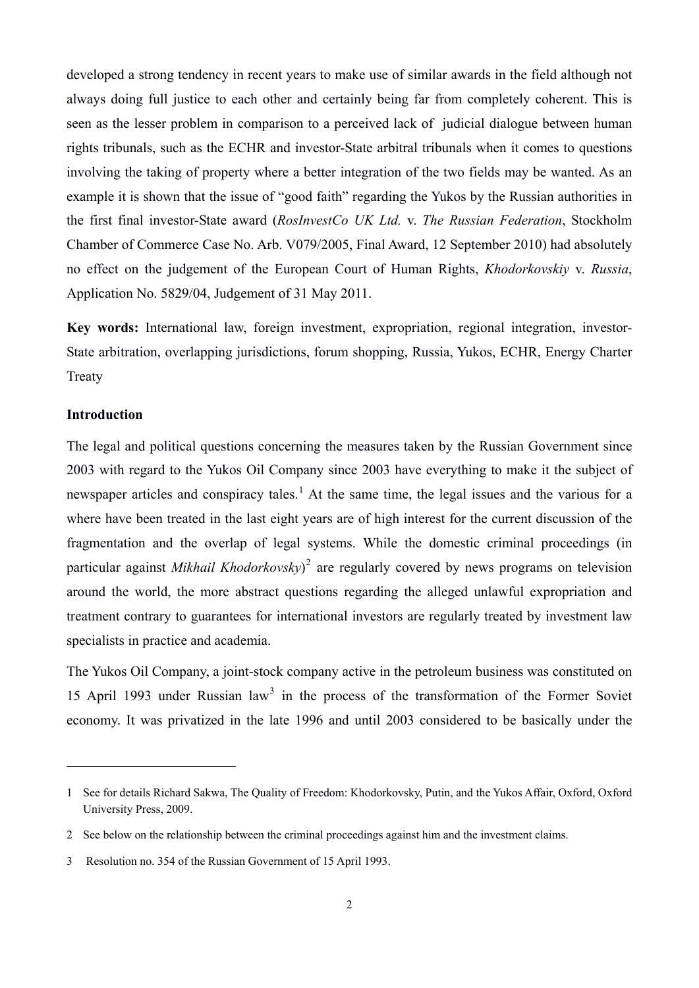developed a strong tendency in recent years to make use of similar awards in the field although not always doing full justice to each other and certainly being far from completely coherent. This is seen as the lesser problem in comparison to a perceived lack of judicial dialogue between human rights tribunals, such as the ECHR and investor-State arbitral tribunals when it comes to questions involving the taking of property where a better integration of the two fields may be wanted. As an example it is shown that the issue of "good faith" regarding the Yukos by the Russian authorities in the first final investor-State award (*RosInvestCo UK Ltd.* v. *The Russian Federation*, Stockholm Chamber of Commerce Case No. Arb. V079/2005, Final Award, 12 September 2010) had absolutely no effect on the judgement of the European Court of Human Rights, *Khodorkovskiy* v. *Russia*, Application No. 5829/04, Judgement of 31 May 2011.

**Key words:** International law, foreign investment, expropriation, regional integration, investor-State arbitration, overlapping jurisdictions, forum shopping, Russia, Yukos, ECHR, Energy Charter Treaty

#### **Introduction**

 $\overline{a}$ 

The legal and political questions concerning the measures taken by the Russian Government since 2003 with regard to the Yukos Oil Company since 2003 have everything to make it the subject of newspaper articles and conspiracy tales.<sup>[1](#page-2-0)</sup> At the same time, the legal issues and the various for a where have been treated in the last eight years are of high interest for the current discussion of the fragmentation and the overlap of legal systems. While the domestic criminal proceedings (in particular against *Mikhail Khodorkovsky*) [2](#page-2-1) are regularly covered by news programs on television around the world, the more abstract questions regarding the alleged unlawful expropriation and treatment contrary to guarantees for international investors are regularly treated by investment law specialists in practice and academia.

The Yukos Oil Company, a joint-stock company active in the petroleum business was constituted on 15 April 199[3](#page-2-2) under Russian law<sup>3</sup> in the process of the transformation of the Former Soviet economy. It was privatized in the late 1996 and until 2003 considered to be basically under the

<span id="page-2-0"></span><sup>1</sup> See for details Richard Sakwa, The Quality of Freedom: Khodorkovsky, Putin, and the Yukos Affair, Oxford, Oxford University Press, 2009.

<span id="page-2-1"></span><sup>2</sup> See below on the relationship between the criminal proceedings against him and the investment claims.

<span id="page-2-2"></span><sup>3</sup> Resolution no. 354 of the Russian Government of 15 April 1993.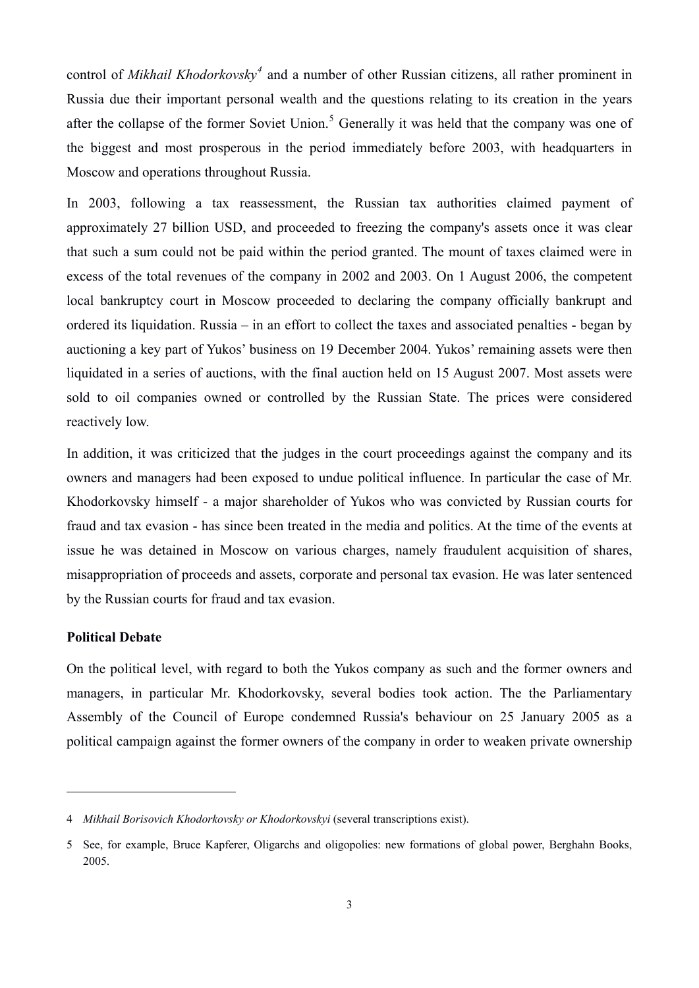control of *Mikhail Khodorkovsky[4](#page-3-0)* and a number of other Russian citizens, all rather prominent in Russia due their important personal wealth and the questions relating to its creation in the years after the collapse of the former Soviet Union.<sup>[5](#page-3-1)</sup> Generally it was held that the company was one of the biggest and most prosperous in the period immediately before 2003, with headquarters in Moscow and operations throughout Russia.

In 2003, following a tax reassessment, the Russian tax authorities claimed payment of approximately 27 billion USD, and proceeded to freezing the company's assets once it was clear that such a sum could not be paid within the period granted. The mount of taxes claimed were in excess of the total revenues of the company in 2002 and 2003. On 1 August 2006, the competent local bankruptcy court in Moscow proceeded to declaring the company officially bankrupt and ordered its liquidation. Russia – in an effort to collect the taxes and associated penalties - began by auctioning a key part of Yukos' business on 19 December 2004. Yukos' remaining assets were then liquidated in a series of auctions, with the final auction held on 15 August 2007. Most assets were sold to oil companies owned or controlled by the Russian State. The prices were considered reactively low.

In addition, it was criticized that the judges in the court proceedings against the company and its owners and managers had been exposed to undue political influence. In particular the case of Mr. Khodorkovsky himself - a major shareholder of Yukos who was convicted by Russian courts for fraud and tax evasion - has since been treated in the media and politics. At the time of the events at issue he was detained in Moscow on various charges, namely fraudulent acquisition of shares, misappropriation of proceeds and assets, corporate and personal tax evasion. He was later sentenced by the Russian courts for fraud and tax evasion.

#### **Political Debate**

 $\overline{a}$ 

On the political level, with regard to both the Yukos company as such and the former owners and managers, in particular Mr. Khodorkovsky, several bodies took action. The the Parliamentary Assembly of the Council of Europe condemned Russia's behaviour on 25 January 2005 as a political campaign against the former owners of the company in order to weaken private ownership

<span id="page-3-0"></span><sup>4</sup> *Mikhail Borisovich Khodorkovsky or Khodorkovskyi* (several transcriptions exist).

<span id="page-3-1"></span><sup>5</sup> See, for example, Bruce Kapferer, Oligarchs and oligopolies: new formations of global power, Berghahn Books, 2005.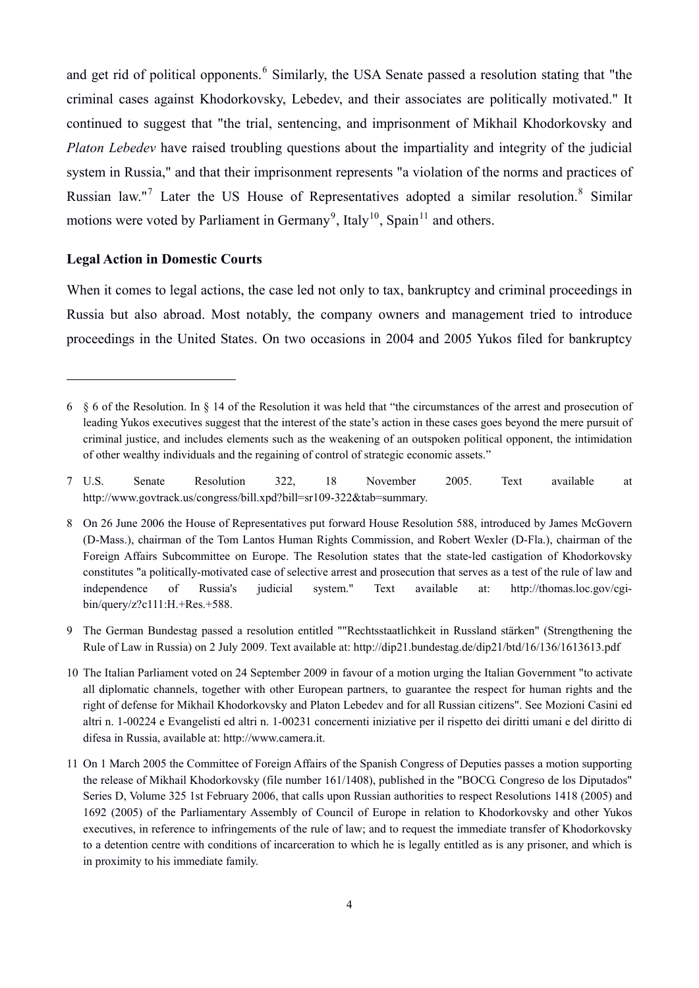and get rid of political opponents.<sup>[6](#page-4-0)</sup> Similarly, the USA Senate passed a resolution stating that "the criminal cases against Khodorkovsky, Lebedev, and their associates are politically motivated." It continued to suggest that "the trial, sentencing, and imprisonment of Mikhail Khodorkovsky and *Platon Lebedev* have raised troubling questions about the impartiality and integrity of the judicial system in Russia," and that their imprisonment represents "a violation of the norms and practices of Russian law."<sup>[7](#page-4-1)</sup> Later the US House of Representatives adopted a similar resolution.<sup>[8](#page-4-2)</sup> Similar motions were voted by Parliament in Germany<sup>[9](#page-4-3)</sup>, Italy<sup>[10](#page-4-4)</sup>, Spain<sup>[11](#page-4-5)</sup> and others.

#### **Legal Action in Domestic Courts**

 $\overline{a}$ 

When it comes to legal actions, the case led not only to tax, bankruptcy and criminal proceedings in Russia but also abroad. Most notably, the company owners and management tried to introduce proceedings in the United States. On two occasions in 2004 and 2005 Yukos filed for bankruptcy

<span id="page-4-3"></span>9 The German Bundestag passed a resolution entitled ""Rechtsstaatlichkeit in Russland stärken" (Strengthening the Rule of Law in Russia) on 2 July 2009. Text available at: http://dip21.bundestag.de/dip21/btd/16/136/1613613.pdf

<span id="page-4-4"></span>10 The Italian Parliament voted on 24 September 2009 in favour of a motion urging the Italian Government "to activate all diplomatic channels, together with other European partners, to guarantee the respect for human rights and the right of defense for Mikhail Khodorkovsky and Platon Lebedev and for all Russian citizens". See Mozioni Casini ed altri n. 1-00224 e Evangelisti ed altri n. 1-00231 concernenti iniziative per il rispetto dei diritti umani e del diritto di difesa in Russia, available at: http://www.camera.it.

<span id="page-4-5"></span>11 On 1 March 2005 the Committee of Foreign Affairs of the Spanish Congress of Deputies passes a motion supporting the release of Mikhail Khodorkovsky (file number 161/1408), published in the "BOCG. Congreso de los Diputados" Series D, Volume 325 1st February 2006, that calls upon Russian authorities to respect Resolutions 1418 (2005) and 1692 (2005) of the Parliamentary Assembly of Council of Europe in relation to Khodorkovsky and other Yukos executives, in reference to infringements of the rule of law; and to request the immediate transfer of Khodorkovsky to a detention centre with conditions of incarceration to which he is legally entitled as is any prisoner, and which is in proximity to his immediate family.

<span id="page-4-0"></span><sup>6 § 6</sup> of the Resolution. In § 14 of the Resolution it was held that "the circumstances of the arrest and prosecution of leading Yukos executives suggest that the interest of the state's action in these cases goes beyond the mere pursuit of criminal justice, and includes elements such as the weakening of an outspoken political opponent, the intimidation of other wealthy individuals and the regaining of control of strategic economic assets."

<span id="page-4-1"></span><sup>7</sup> U.S. Senate Resolution 322, 18 November 2005. Text available at http://www.govtrack.us/congress/bill.xpd?bill=sr109-322&tab=summary.

<span id="page-4-2"></span><sup>8</sup> On 26 June 2006 the House of Representatives put forward House Resolution 588, introduced by James McGovern (D-Mass.), chairman of the Tom Lantos Human Rights Commission, and Robert Wexler (D-Fla.), chairman of the Foreign Affairs Subcommittee on Europe. The Resolution states that the state-led castigation of Khodorkovsky constitutes "a politically-motivated case of selective arrest and prosecution that serves as a test of the rule of law and independence of Russia's judicial system." Text available at: http://thomas.loc.gov/cgibin/query/z?c111:H.+Res.+588.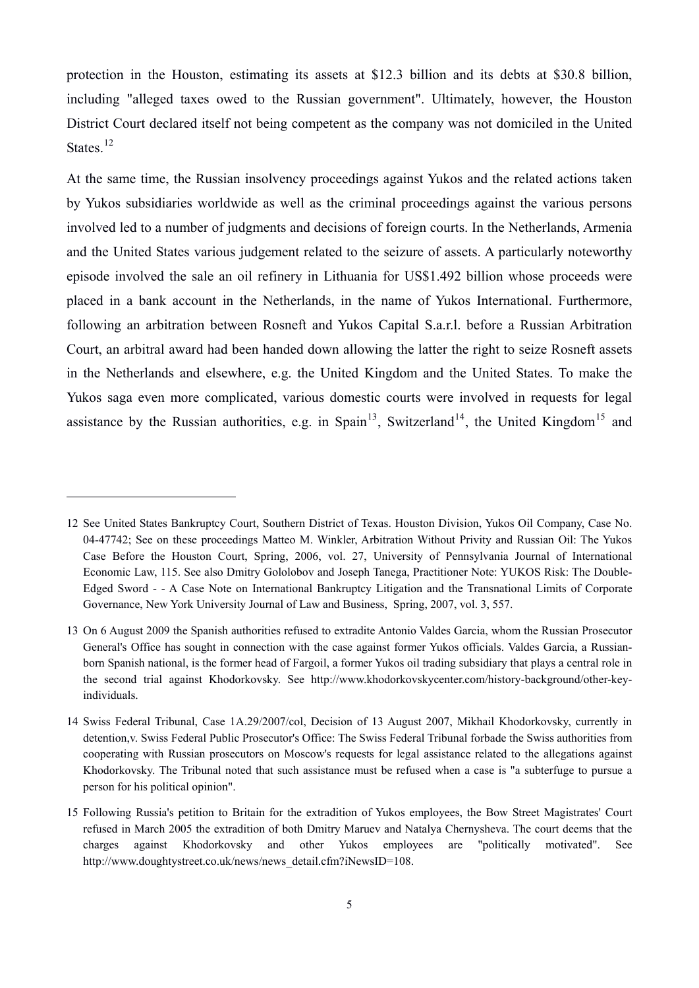protection in the Houston, estimating its assets at \$12.3 billion and its debts at \$30.8 billion, including "alleged taxes owed to the Russian government". Ultimately, however, the Houston District Court declared itself not being competent as the company was not domiciled in the United States.<sup>[12](#page-5-0)</sup>

At the same time, the Russian insolvency proceedings against Yukos and the related actions taken by Yukos subsidiaries worldwide as well as the criminal proceedings against the various persons involved led to a number of judgments and decisions of foreign courts. In the Netherlands, Armenia and the United States various judgement related to the seizure of assets. A particularly noteworthy episode involved the sale an oil refinery in Lithuania for US\$1.492 billion whose proceeds were placed in a bank account in the Netherlands, in the name of Yukos International. Furthermore, following an arbitration between Rosneft and Yukos Capital S.a.r.l. before a Russian Arbitration Court, an arbitral award had been handed down allowing the latter the right to seize Rosneft assets in the Netherlands and elsewhere, e.g. the United Kingdom and the United States. To make the Yukos saga even more complicated, various domestic courts were involved in requests for legal assistance by the Russian authorities, e.g. in Spain<sup>[13](#page-5-1)</sup>, Switzerland<sup>[14](#page-5-2)</sup>, the United Kingdom<sup>[15](#page-5-3)</sup> and

<span id="page-5-0"></span><sup>12</sup> See United States Bankruptcy Court, Southern District of Texas. Houston Division, Yukos Oil Company, Case No. 04-47742; See on these proceedings Matteo M. Winkler, Arbitration Without Privity and Russian Oil: The Yukos Case Before the Houston Court, Spring, 2006, vol. 27, University of Pennsylvania Journal of International Economic Law, 115. See also Dmitry Gololobov and Joseph Tanega, Practitioner Note: YUKOS Risk: The Double-Edged Sword - - A Case Note on International Bankruptcy Litigation and the Transnational Limits of Corporate Governance, New York University Journal of Law and Business, Spring, 2007, vol. 3, 557.

<span id="page-5-1"></span><sup>13</sup> On 6 August 2009 the Spanish authorities refused to extradite Antonio Valdes Garcia, whom the Russian Prosecutor General's Office has sought in connection with the case against former Yukos officials. Valdes Garcia, a Russianborn Spanish national, is the former head of Fargoil, a former Yukos oil trading subsidiary that plays a central role in the second trial against Khodorkovsky. See http://www.khodorkovskycenter.com/history-background/other-keyindividuals.

<span id="page-5-2"></span><sup>14</sup> Swiss Federal Tribunal, Case 1A.29/2007/col, Decision of 13 August 2007, Mikhail Khodorkovsky, currently in detention,v. Swiss Federal Public Prosecutor's Office: The Swiss Federal Tribunal forbade the Swiss authorities from cooperating with Russian prosecutors on Moscow's requests for legal assistance related to the allegations against Khodorkovsky. The Tribunal noted that such assistance must be refused when a case is "a subterfuge to pursue a person for his political opinion".

<span id="page-5-3"></span><sup>15</sup> Following Russia's petition to Britain for the extradition of Yukos employees, the Bow Street Magistrates' Court refused in March 2005 the extradition of both Dmitry Maruev and Natalya Chernysheva. The court deems that the charges against Khodorkovsky and other Yukos employees are "politically motivated". See http://www.doughtystreet.co.uk/news/news\_detail.cfm?iNewsID=108.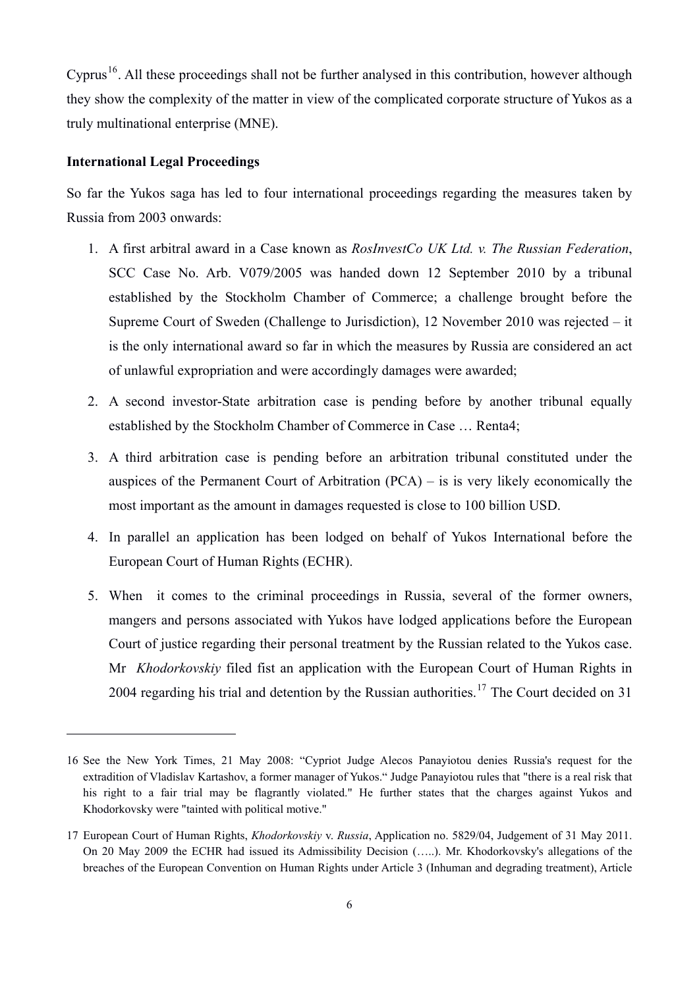Cyprus<sup>[16](#page-6-0)</sup>. All these proceedings shall not be further analysed in this contribution, however although they show the complexity of the matter in view of the complicated corporate structure of Yukos as a truly multinational enterprise (MNE).

#### **International Legal Proceedings**

 $\overline{a}$ 

So far the Yukos saga has led to four international proceedings regarding the measures taken by Russia from 2003 onwards:

- 1. A first arbitral award in a Case known as *RosInvestCo UK Ltd. v. The Russian Federation*, SCC Case No. Arb. V079/2005 was handed down 12 September 2010 by a tribunal established by the Stockholm Chamber of Commerce; a challenge brought before the Supreme Court of Sweden (Challenge to Jurisdiction), 12 November 2010 was rejected – it is the only international award so far in which the measures by Russia are considered an act of unlawful expropriation and were accordingly damages were awarded;
- 2. A second investor-State arbitration case is pending before by another tribunal equally established by the Stockholm Chamber of Commerce in Case … Renta4;
- 3. A third arbitration case is pending before an arbitration tribunal constituted under the auspices of the Permanent Court of Arbitration (PCA) – is is very likely economically the most important as the amount in damages requested is close to 100 billion USD.
- 4. In parallel an application has been lodged on behalf of Yukos International before the European Court of Human Rights (ECHR).
- 5. When it comes to the criminal proceedings in Russia, several of the former owners, mangers and persons associated with Yukos have lodged applications before the European Court of justice regarding their personal treatment by the Russian related to the Yukos case. Mr *Khodorkovskiy* filed fist an application with the European Court of Human Rights in 2004 regarding his trial and detention by the Russian authorities.<sup>[17](#page-6-1)</sup> The Court decided on 31

<span id="page-6-0"></span><sup>16</sup> See the New York Times, 21 May 2008: "Cypriot Judge Alecos Panayiotou denies Russia's request for the extradition of Vladislav Kartashov, a former manager of Yukos." Judge Panayiotou rules that "there is a real risk that his right to a fair trial may be flagrantly violated." He further states that the charges against Yukos and Khodorkovsky were "tainted with political motive."

<span id="page-6-1"></span><sup>17</sup> European Court of Human Rights, *Khodorkovskiy* v. *Russia*, Application no. 5829/04, Judgement of 31 May 2011. On 20 May 2009 the ECHR had issued its Admissibility Decision (…..). Mr. Khodorkovsky's allegations of the breaches of the European Convention on Human Rights under Article 3 (Inhuman and degrading treatment), Article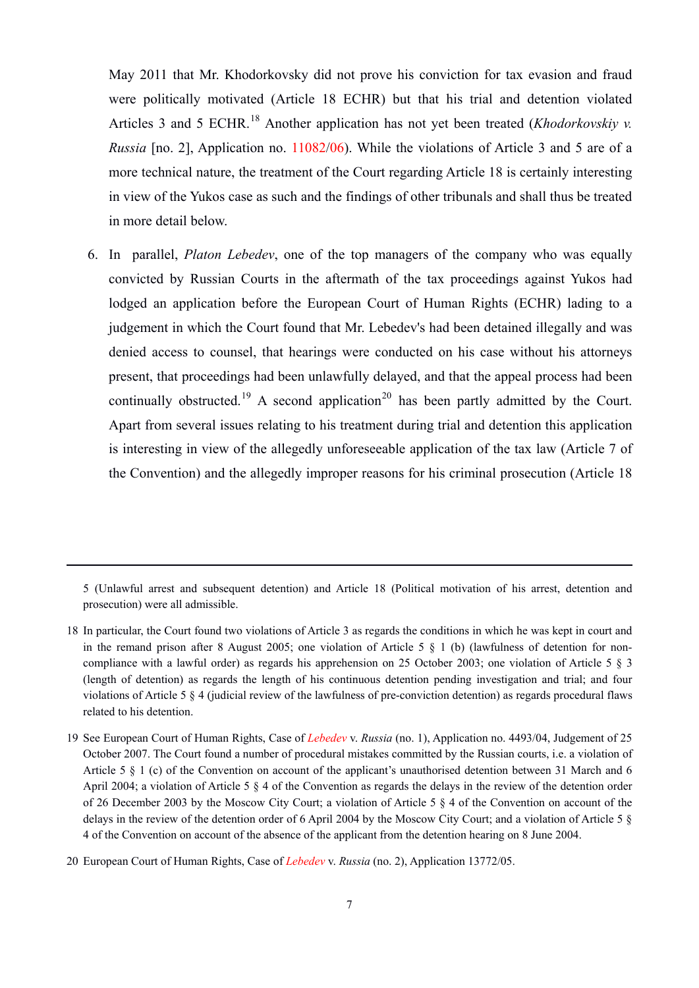May 2011 that Mr. Khodorkovsky did not prove his conviction for tax evasion and fraud were politically motivated (Article 18 ECHR) but that his trial and detention violated Articles 3 and 5 ECHR.<sup>[18](#page-7-0)</sup> Another application has not yet been treated (*Khodorkovskiy v. Russia* [no. 2], Application no. 11082/06). While the violations of Article 3 and 5 are of a more technical nature, the treatment of the Court regarding Article 18 is certainly interesting in view of the Yukos case as such and the findings of other tribunals and shall thus be treated in more detail below.

6. In parallel, *Platon Lebedev*, one of the top managers of the company who was equally convicted by Russian Courts in the aftermath of the tax proceedings against Yukos had lodged an application before the European Court of Human Rights (ECHR) lading to a judgement in which the Court found that Mr. Lebedev's had been detained illegally and was denied access to counsel, that hearings were conducted on his case without his attorneys present, that proceedings had been unlawfully delayed, and that the appeal process had been continually obstructed.<sup>[19](#page-7-1)</sup> A second application<sup>[20](#page-7-2)</sup> has been partly admitted by the Court. Apart from several issues relating to his treatment during trial and detention this application is interesting in view of the allegedly unforeseeable application of the tax law (Article 7 of the Convention) and the allegedly improper reasons for his criminal prosecution (Article 18

5 (Unlawful arrest and subsequent detention) and Article 18 (Political motivation of his arrest, detention and prosecution) were all admissible.

- <span id="page-7-0"></span>18 In particular, the Court found two violations of Article 3 as regards the conditions in which he was kept in court and in the remand prison after 8 August 2005; one violation of Article 5 § 1 (b) (lawfulness of detention for noncompliance with a lawful order) as regards his apprehension on 25 October 2003; one violation of Article 5 § 3 (length of detention) as regards the length of his continuous detention pending investigation and trial; and four violations of Article 5 § 4 (judicial review of the lawfulness of pre-conviction detention) as regards procedural flaws related to his detention.
- <span id="page-7-1"></span>19 See European Court of Human Rights, Case of *Lebedev* v. *Russia* (no. 1), Application no. 4493/04, Judgement of 25 October 2007. The Court found a number of procedural mistakes committed by the Russian courts, i.e. a violation of Article 5 § 1 (c) of the Convention on account of the applicant's unauthorised detention between 31 March and 6 April 2004; a violation of Article 5 § 4 of the Convention as regards the delays in the review of the detention order of 26 December 2003 by the Moscow City Court; a violation of Article 5 § 4 of the Convention on account of the delays in the review of the detention order of 6 April 2004 by the Moscow City Court; and a violation of Article 5 § 4 of the Convention on account of the absence of the applicant from the detention hearing on 8 June 2004.

<span id="page-7-2"></span><sup>20</sup> European Court of Human Rights, Case of *Lebedev* v. *Russia* (no. 2), Application 13772/05.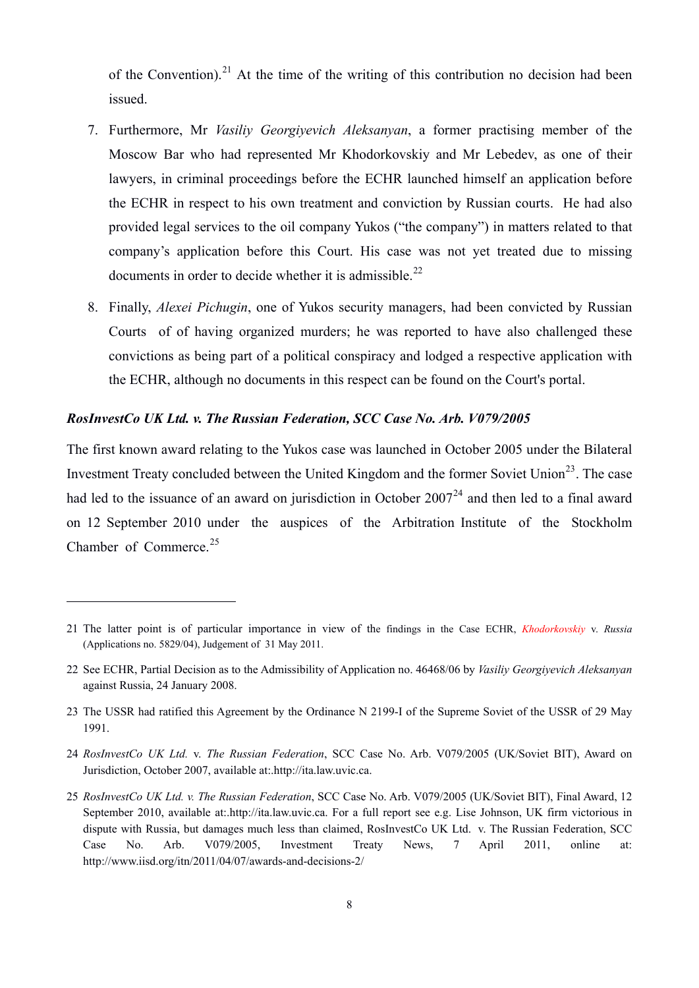of the Convention).<sup>[21](#page-8-0)</sup> At the time of the writing of this contribution no decision had been issued.

- 7. Furthermore, Mr *Vasiliy Georgiyevich Aleksanyan*, a former practising member of the Moscow Bar who had represented Mr Khodorkovskiy and Mr Lebedev, as one of their lawyers, in criminal proceedings before the ECHR launched himself an application before the ECHR in respect to his own treatment and conviction by Russian courts. He had also provided legal services to the oil company Yukos ("the company") in matters related to that company's application before this Court. His case was not yet treated due to missing documents in order to decide whether it is admissible.<sup>[22](#page-8-1)</sup>
- 8. Finally, *Alexei Pichugin*, one of Yukos security managers, had been convicted by Russian Courts of of having organized murders; he was reported to have also challenged these convictions as being part of a political conspiracy and lodged a respective application with the ECHR, although no documents in this respect can be found on the Court's portal.

### *RosInvestCo UK Ltd. v. The Russian Federation, SCC Case No. Arb. V079/2005*

 $\overline{a}$ 

The first known award relating to the Yukos case was launched in October 2005 under the Bilateral Investment Treaty concluded between the United Kingdom and the former Soviet Union<sup>[23](#page-8-2)</sup>. The case had led to the issuance of an award on jurisdiction in October  $2007<sup>24</sup>$  $2007<sup>24</sup>$  $2007<sup>24</sup>$  and then led to a final award on 12 September 2010 under the auspices of the Arbitration Institute of the Stockholm Chamber of Commerce.<sup>[25](#page-8-4)</sup>

<span id="page-8-0"></span><sup>21</sup> The latter point is of particular importance in view of the findings in the Case ECHR, *Khodorkovskiy* v. *Russia* (Applications no. 5829/04), Judgement of 31 May 2011.

<span id="page-8-1"></span><sup>22</sup> See ECHR, Partial Decision as to the Admissibility of Application no. 46468/06 by *Vasiliy Georgiyevich Aleksanyan*  against Russia, 24 January 2008.

<span id="page-8-2"></span><sup>23</sup> The USSR had ratified this Agreement by the Ordinance N 2199-I of the Supreme Soviet of the USSR of 29 May 1991.

<span id="page-8-3"></span><sup>24</sup> *RosInvestCo UK Ltd.* v. *The Russian Federation*, SCC Case No. Arb. V079/2005 (UK/Soviet BIT), Award on Jurisdiction, October 2007, available at:.http://ita.law.uvic.ca.

<span id="page-8-4"></span><sup>25</sup> *RosInvestCo UK Ltd. v. The Russian Federation*, SCC Case No. Arb. V079/2005 (UK/Soviet BIT), Final Award, 12 September 2010, available at:.http://ita.law.uvic.ca. For a full report see e.g. Lise Johnson, UK firm victorious in dispute with Russia, but damages much less than claimed, RosInvestCo UK Ltd. v. The Russian Federation, SCC Case No. Arb. V079/2005, Investment Treaty News, 7 April 2011, online at: http://www.iisd.org/itn/2011/04/07/awards-and-decisions-2/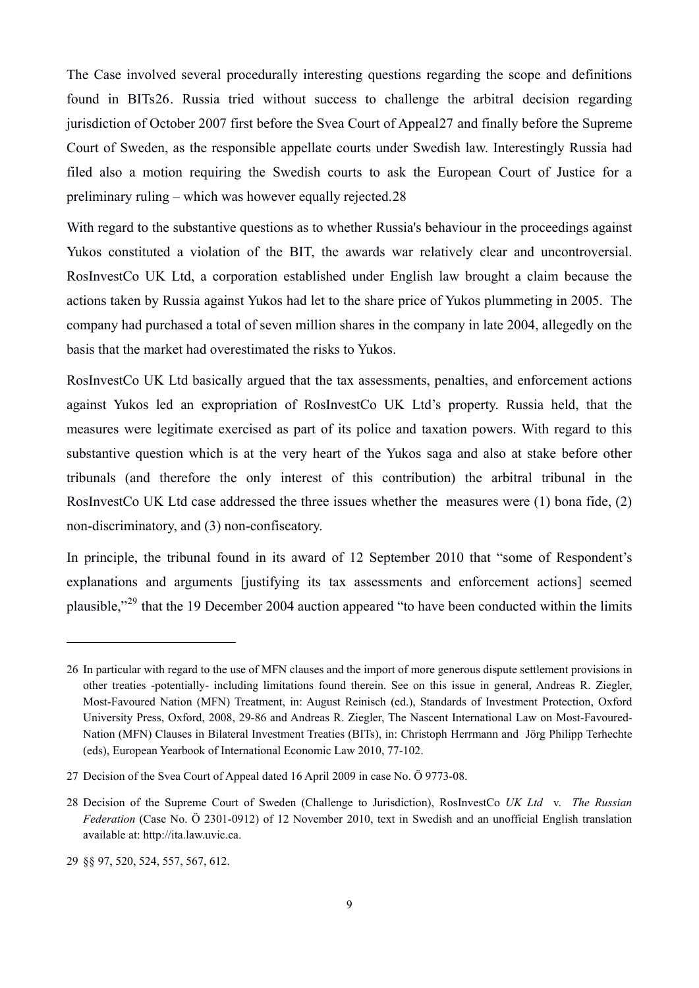The Case involved several procedurally interesting questions regarding the scope and definitions found in BITs[26](#page-9-0). Russia tried without success to challenge the arbitral decision regarding jurisdiction of October 2007 first before the Svea Court of Appeal[27](#page-9-1) and finally before the Supreme Court of Sweden, as the responsible appellate courts under Swedish law. Interestingly Russia had filed also a motion requiring the Swedish courts to ask the European Court of Justice for a preliminary ruling – which was however equally rejected[.28](#page-9-2)

With regard to the substantive questions as to whether Russia's behaviour in the proceedings against Yukos constituted a violation of the BIT, the awards war relatively clear and uncontroversial. RosInvestCo UK Ltd, a corporation established under English law brought a claim because the actions taken by Russia against Yukos had let to the share price of Yukos plummeting in 2005. The company had purchased a total of seven million shares in the company in late 2004, allegedly on the basis that the market had overestimated the risks to Yukos.

RosInvestCo UK Ltd basically argued that the tax assessments, penalties, and enforcement actions against Yukos led an expropriation of RosInvestCo UK Ltd's property. Russia held, that the measures were legitimate exercised as part of its police and taxation powers. With regard to this substantive question which is at the very heart of the Yukos saga and also at stake before other tribunals (and therefore the only interest of this contribution) the arbitral tribunal in the RosInvestCo UK Ltd case addressed the three issues whether the measures were (1) bona fide, (2) non-discriminatory, and (3) non-confiscatory.

In principle, the tribunal found in its award of 12 September 2010 that "some of Respondent's explanations and arguments [justifying its tax assessments and enforcement actions] seemed plausible,"[29](#page-9-3) that the 19 December 2004 auction appeared "to have been conducted within the limits

<span id="page-9-0"></span><sup>26</sup> In particular with regard to the use of MFN clauses and the import of more generous dispute settlement provisions in other treaties -potentially- including limitations found therein. See on this issue in general, Andreas R. Ziegler, Most-Favoured Nation (MFN) Treatment, in: August Reinisch (ed.), Standards of Investment Protection, Oxford University Press, Oxford, 2008, 29-86 and Andreas R. Ziegler, The Nascent International Law on Most-Favoured-Nation (MFN) Clauses in Bilateral Investment Treaties (BITs), in: Christoph Herrmann and Jörg Philipp Terhechte (eds), European Yearbook of International Economic Law 2010, 77-102.

<span id="page-9-1"></span><sup>27</sup> Decision of the Svea Court of Appeal dated 16 April 2009 in case No. Ö 9773-08.

<span id="page-9-2"></span><sup>28</sup> Decision of the Supreme Court of Sweden (Challenge to Jurisdiction), RosInvestCo *UK Ltd* v. *The Russian Federation* (Case No. Ö 2301-0912) of 12 November 2010, text in Swedish and an unofficial English translation available at: http://ita.law.uvic.ca.

<span id="page-9-3"></span><sup>29 §§ 97, 520, 524, 557, 567, 612.</sup>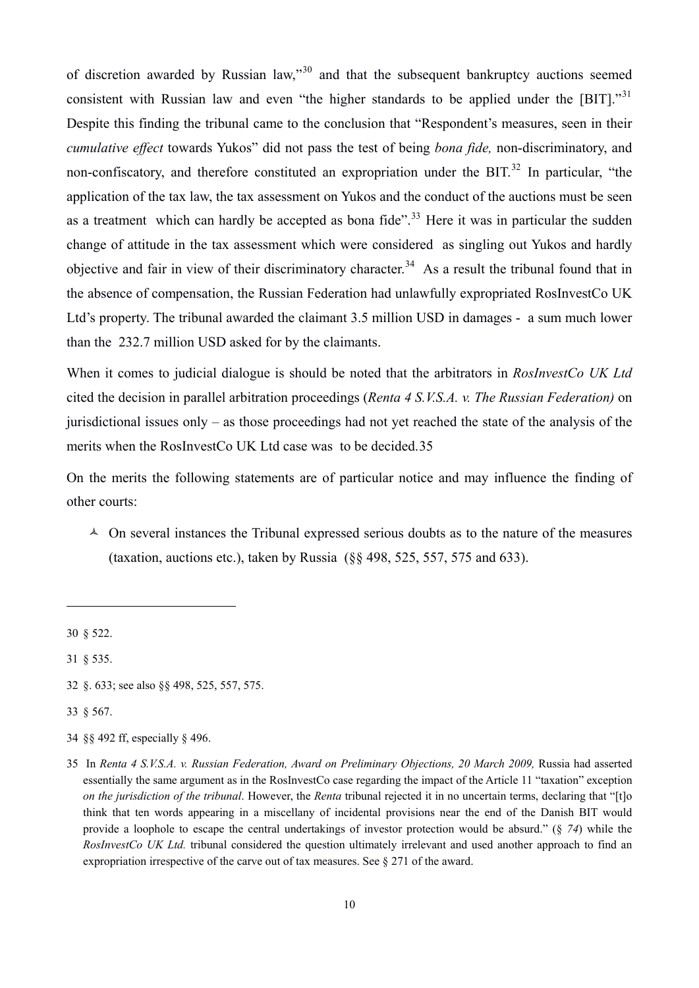of discretion awarded by Russian law."<sup>[30](#page-10-0)</sup> and that the subsequent bankruptcy auctions seemed consistent with Russian law and even "the higher standards to be applied under the [BIT]."<sup>[31](#page-10-1)</sup> Despite this finding the tribunal came to the conclusion that "Respondent's measures, seen in their *cumulative effect* towards Yukos" did not pass the test of being *bona fide,* non-discriminatory, and non-confiscatory, and therefore constituted an expropriation under the BIT.<sup>[32](#page-10-2)</sup> In particular, "the application of the tax law, the tax assessment on Yukos and the conduct of the auctions must be seen as a treatment which can hardly be accepted as bona fide".<sup>[33](#page-10-3)</sup> Here it was in particular the sudden change of attitude in the tax assessment which were considered as singling out Yukos and hardly objective and fair in view of their discriminatory character.<sup>[34](#page-10-4)</sup> As a result the tribunal found that in the absence of compensation, the Russian Federation had unlawfully expropriated RosInvestCo UK Ltd's property. The tribunal awarded the claimant 3.5 million USD in damages - a sum much lower than the 232.7 million USD asked for by the claimants.

When it comes to judicial dialogue is should be noted that the arbitrators in *RosInvestCo UK Ltd* cited the decision in parallel arbitration proceedings (*Renta 4 S.V.S.A. v. The Russian Federation)* on jurisdictional issues only – as those proceedings had not yet reached the state of the analysis of the merits when the RosInvestCo UK Ltd case was to be decided.[35](#page-10-5)

On the merits the following statements are of particular notice and may influence the finding of other courts:

 $\triangle$  On several instances the Tribunal expressed serious doubts as to the nature of the measures (taxation, auctions etc.), taken by Russia  $(\S$ § 498, 525, 557, 575 and 633).

 $\overline{a}$ 

<span id="page-10-3"></span>33 § 567.

<span id="page-10-0"></span><sup>30 § 522.</sup> 

<span id="page-10-1"></span><sup>31 § 535.</sup> 

<span id="page-10-2"></span><sup>32 §. 633;</sup> see also §§ 498, 525, 557, 575.

<span id="page-10-4"></span><sup>34 §§ 492</sup> ff, especially § 496.

<span id="page-10-5"></span><sup>35</sup> In *Renta 4 S.V.S.A. v. Russian Federation, Award on Preliminary Objections, 20 March 2009, Russia had asserted* essentially the same argument as in the RosInvestCo case regarding the impact of the Article 11 "taxation" exception *on the jurisdiction of the tribunal*. However, the *Renta* tribunal rejected it in no uncertain terms, declaring that "[t]o think that ten words appearing in a miscellany of incidental provisions near the end of the Danish BIT would provide a loophole to escape the central undertakings of investor protection would be absurd." (§ *74*) while the *RosInvestCo UK Ltd.* tribunal considered the question ultimately irrelevant and used another approach to find an expropriation irrespective of the carve out of tax measures. See § 271 of the award.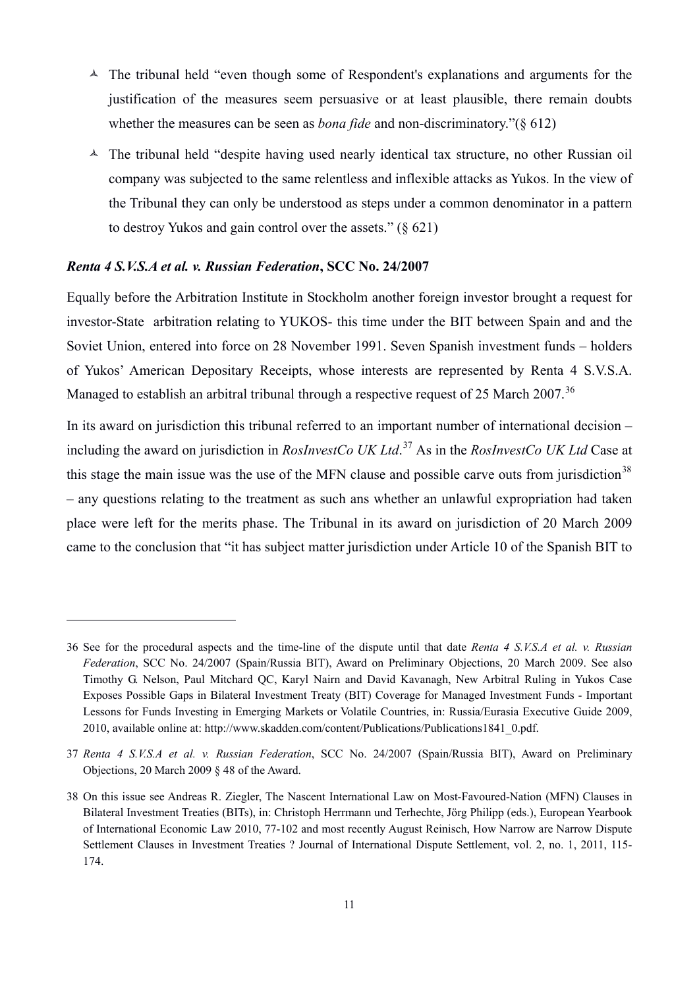- $\triangle$  The tribunal held "even though some of Respondent's explanations and arguments for the justification of the measures seem persuasive or at least plausible, there remain doubts whether the measures can be seen as *bona fide* and non-discriminatory."(§ 612)
- $\triangle$  The tribunal held "despite having used nearly identical tax structure, no other Russian oil company was subjected to the same relentless and inflexible attacks as Yukos. In the view of the Tribunal they can only be understood as steps under a common denominator in a pattern to destroy Yukos and gain control over the assets." (§ 621)

#### *Renta 4 S.V.S.A et al. v. Russian Federation***, SCC No. 24/2007**

 $\overline{a}$ 

Equally before the Arbitration Institute in Stockholm another foreign investor brought a request for investor-State arbitration relating to YUKOS- this time under the BIT between Spain and and the Soviet Union, entered into force on 28 November 1991. Seven Spanish investment funds – holders of Yukos' American Depositary Receipts, whose interests are represented by Renta 4 S.V.S.A. Managed to establish an arbitral tribunal through a respective request of 25 March 2007.<sup>[36](#page-11-0)</sup>

In its award on jurisdiction this tribunal referred to an important number of international decision – including the award on jurisdiction in *RosInvestCo UK Ltd*. [37](#page-11-1) As in the *RosInvestCo UK Ltd* Case at this stage the main issue was the use of the MFN clause and possible carve outs from jurisdiction<sup>[38](#page-11-2)</sup> – any questions relating to the treatment as such ans whether an unlawful expropriation had taken place were left for the merits phase. The Tribunal in its award on jurisdiction of 20 March 2009 came to the conclusion that "it has subject matter jurisdiction under Article 10 of the Spanish BIT to

<span id="page-11-0"></span><sup>36</sup> See for the procedural aspects and the time-line of the dispute until that date *Renta 4 S.V.S.A et al. v. Russian Federation*, SCC No. 24/2007 (Spain/Russia BIT), Award on Preliminary Objections, 20 March 2009. See also Timothy G. Nelson, Paul Mitchard QC, Karyl Nairn and David Kavanagh, New Arbitral Ruling in Yukos Case Exposes Possible Gaps in Bilateral Investment Treaty (BIT) Coverage for Managed Investment Funds - Important Lessons for Funds Investing in Emerging Markets or Volatile Countries, in: Russia/Eurasia Executive Guide 2009, 2010, available online at: http://www.skadden.com/content/Publications/Publications1841\_0.pdf.

<span id="page-11-1"></span><sup>37</sup> *Renta 4 S.V.S.A et al. v. Russian Federation*, SCC No. 24/2007 (Spain/Russia BIT), Award on Preliminary Objections, 20 March 2009 § 48 of the Award.

<span id="page-11-2"></span><sup>38</sup> On this issue see Andreas R. Ziegler, The Nascent International Law on Most-Favoured-Nation (MFN) Clauses in Bilateral Investment Treaties (BITs), in: Christoph Herrmann und Terhechte, Jörg Philipp (eds.), European Yearbook of International Economic Law 2010, 77-102 and most recently August Reinisch, How Narrow are Narrow Dispute Settlement Clauses in Investment Treaties ? Journal of International Dispute Settlement, vol. 2, no. 1, 2011, 115- 174.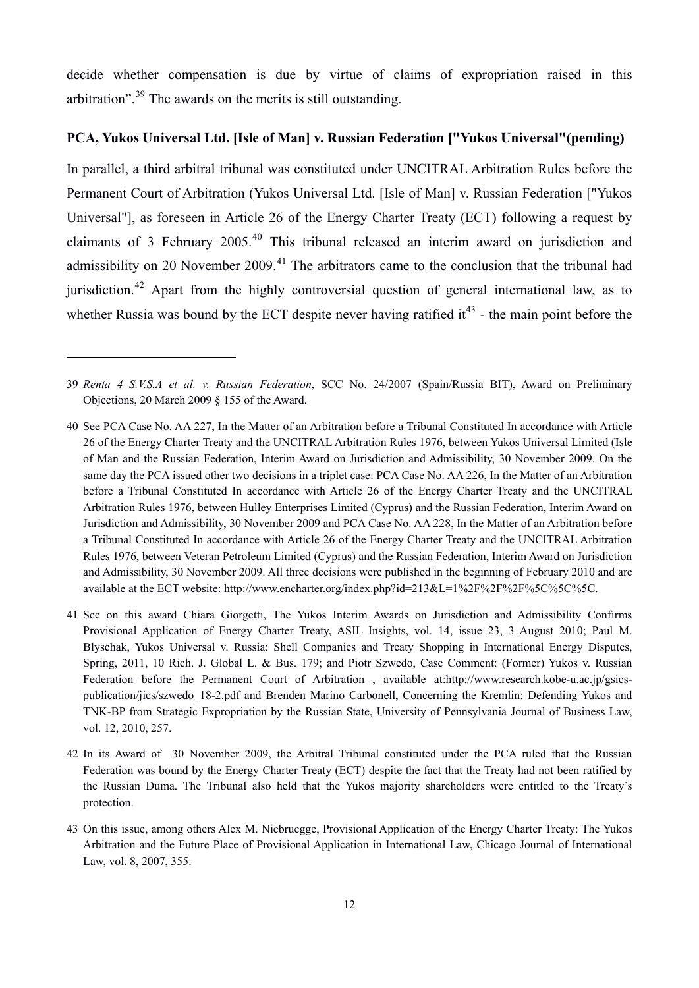decide whether compensation is due by virtue of claims of expropriation raised in this arbitration".[39](#page-12-0) The awards on the merits is still outstanding.

# **PCA, Yukos Universal Ltd. [Isle of Man] v. Russian Federation ["Yukos Universal"(pending)**

In parallel, a third arbitral tribunal was constituted under UNCITRAL Arbitration Rules before the Permanent Court of Arbitration (Yukos Universal Ltd. [Isle of Man] v. Russian Federation ["Yukos Universal"], as foreseen in Article 26 of the Energy Charter Treaty (ECT) following a request by claimants of 3 February 2005.[40](#page-12-1) This tribunal released an interim award on jurisdiction and admissibility on 20 November 2009.<sup>[41](#page-12-2)</sup> The arbitrators came to the conclusion that the tribunal had jurisdiction.<sup>[42](#page-12-3)</sup> Apart from the highly controversial question of general international law, as to whether Russia was bound by the ECT despite never having ratified it<sup>[43](#page-12-4)</sup> - the main point before the

<span id="page-12-0"></span><sup>39</sup> *Renta 4 S.V.S.A et al. v. Russian Federation*, SCC No. 24/2007 (Spain/Russia BIT), Award on Preliminary Objections, 20 March 2009 § 155 of the Award.

<span id="page-12-1"></span><sup>40</sup> See PCA Case No. AA 227, In the Matter of an Arbitration before a Tribunal Constituted In accordance with Article 26 of the Energy Charter Treaty and the UNCITRAL Arbitration Rules 1976, between Yukos Universal Limited (Isle of Man and the Russian Federation, Interim Award on Jurisdiction and Admissibility, 30 November 2009. On the same day the PCA issued other two decisions in a triplet case: PCA Case No. AA 226, In the Matter of an Arbitration before a Tribunal Constituted In accordance with Article 26 of the Energy Charter Treaty and the UNCITRAL Arbitration Rules 1976, between Hulley Enterprises Limited (Cyprus) and the Russian Federation, Interim Award on Jurisdiction and Admissibility, 30 November 2009 and PCA Case No. AA 228, In the Matter of an Arbitration before a Tribunal Constituted In accordance with Article 26 of the Energy Charter Treaty and the UNCITRAL Arbitration Rules 1976, between Veteran Petroleum Limited (Cyprus) and the Russian Federation, Interim Award on Jurisdiction and Admissibility, 30 November 2009. All three decisions were published in the beginning of February 2010 and are available at the ECT website: http://www.encharter.org/index.php?id=213&L=1%2F%2F%2F%5C%5C%5C.

<span id="page-12-2"></span><sup>41</sup> See on this award Chiara Giorgetti, The Yukos Interim Awards on Jurisdiction and Admissibility Confirms Provisional Application of Energy Charter Treaty, ASIL Insights, vol. 14, issue 23, 3 August 2010; Paul M. Blyschak, Yukos Universal v. Russia: Shell Companies and Treaty Shopping in International Energy Disputes, Spring, 2011, 10 Rich. J. Global L. & Bus. 179; and Piotr Szwedo, Case Comment: (Former) Yukos v. Russian Federation before the Permanent Court of Arbitration , available at:http://www.research.kobe-u.ac.jp/gsicspublication/jics/szwedo\_18-2.pdf and Brenden Marino Carbonell, Concerning the Kremlin: Defending Yukos and TNK-BP from Strategic Expropriation by the Russian State, University of Pennsylvania Journal of Business Law, vol. 12, 2010, 257.

<span id="page-12-3"></span><sup>42</sup> In its Award of 30 November 2009, the Arbitral Tribunal constituted under the PCA ruled that the Russian Federation was bound by the Energy Charter Treaty (ECT) despite the fact that the Treaty had not been ratified by the Russian Duma. The Tribunal also held that the Yukos majority shareholders were entitled to the Treaty's protection.

<span id="page-12-4"></span><sup>43</sup> On this issue, among others Alex M. Niebruegge, Provisional Application of the Energy Charter Treaty: The Yukos Arbitration and the Future Place of Provisional Application in International Law, Chicago Journal of International Law, vol. 8, 2007, 355.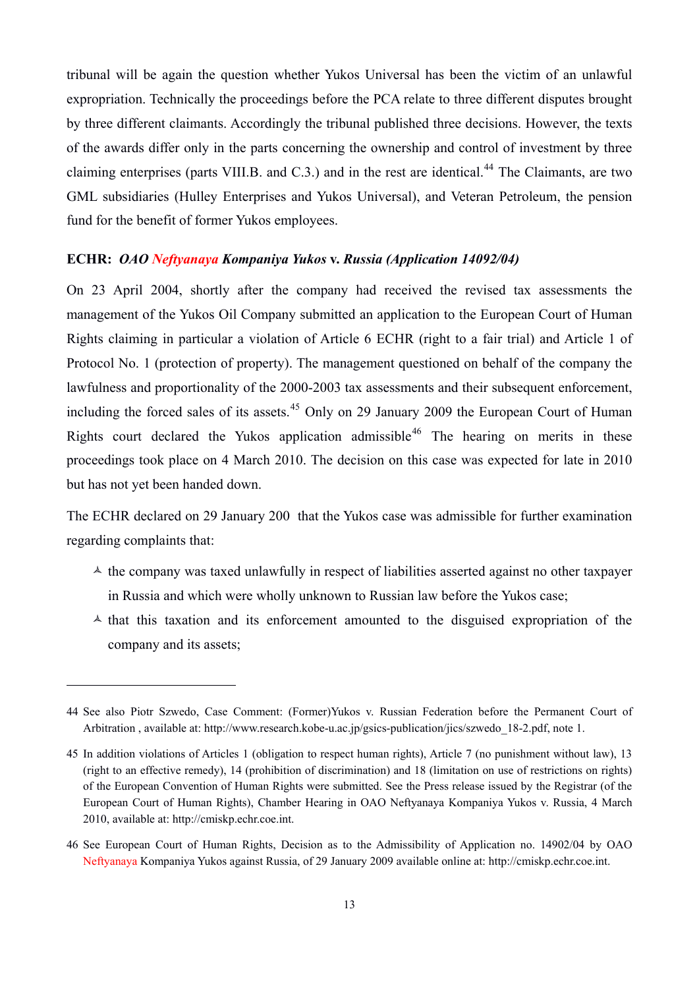tribunal will be again the question whether Yukos Universal has been the victim of an unlawful expropriation. Technically the proceedings before the PCA relate to three different disputes brought by three different claimants. Accordingly the tribunal published three decisions. However, the texts of the awards differ only in the parts concerning the ownership and control of investment by three claiming enterprises (parts VIII.B. and C.3.) and in the rest are identical.<sup>[44](#page-13-0)</sup> The Claimants, are two GML subsidiaries (Hulley Enterprises and Yukos Universal), and Veteran Petroleum, the pension fund for the benefit of former Yukos employees.

#### **ECHR:** *OAO Neftyanaya Kompaniya Yukos* **v.** *Russia (Application 14092/04)*

On 23 April 2004, shortly after the company had received the revised tax assessments the management of the Yukos Oil Company submitted an application to the European Court of Human Rights claiming in particular a violation of Article 6 ECHR (right to a fair trial) and Article 1 of Protocol No. 1 (protection of property). The management questioned on behalf of the company the lawfulness and proportionality of the 2000-2003 tax assessments and their subsequent enforcement, including the forced sales of its assets.<sup>[45](#page-13-1)</sup> Only on 29 January 2009 the European Court of Human Rights court declared the Yukos application admissible<sup>[46](#page-13-2)</sup> The hearing on merits in these proceedings took place on 4 March 2010. The decision on this case was expected for late in 2010 but has not yet been handed down.

The ECHR declared on 29 January 200 that the Yukos case was admissible for further examination regarding complaints that:

- $\triangle$  the company was taxed unlawfully in respect of liabilities asserted against no other taxpayer in Russia and which were wholly unknown to Russian law before the Yukos case;
- $\lambda$  that this taxation and its enforcement amounted to the disguised expropriation of the company and its assets;

<span id="page-13-0"></span><sup>44</sup> See also Piotr Szwedo, Case Comment: (Former)Yukos v. Russian Federation before the Permanent Court of Arbitration , available at: http://www.research.kobe-u.ac.jp/gsics-publication/jics/szwedo\_18-2.pdf, note 1.

<span id="page-13-1"></span><sup>45</sup> In addition violations of Articles 1 (obligation to respect human rights), Article 7 (no punishment without law), 13 (right to an effective remedy), 14 (prohibition of discrimination) and 18 (limitation on use of restrictions on rights) of the European Convention of Human Rights were submitted. See the Press release issued by the Registrar (of the European Court of Human Rights), Chamber Hearing in OAO Neftyanaya Kompaniya Yukos v. Russia, 4 March 2010, available at: http://cmiskp.echr.coe.int.

<span id="page-13-2"></span><sup>46</sup> See European Court of Human Rights, Decision as to the Admissibility of Application no. 14902/04 by OAO Neftyanaya Kompaniya Yukos against Russia, of 29 January 2009 available online at: http://cmiskp.echr.coe.int.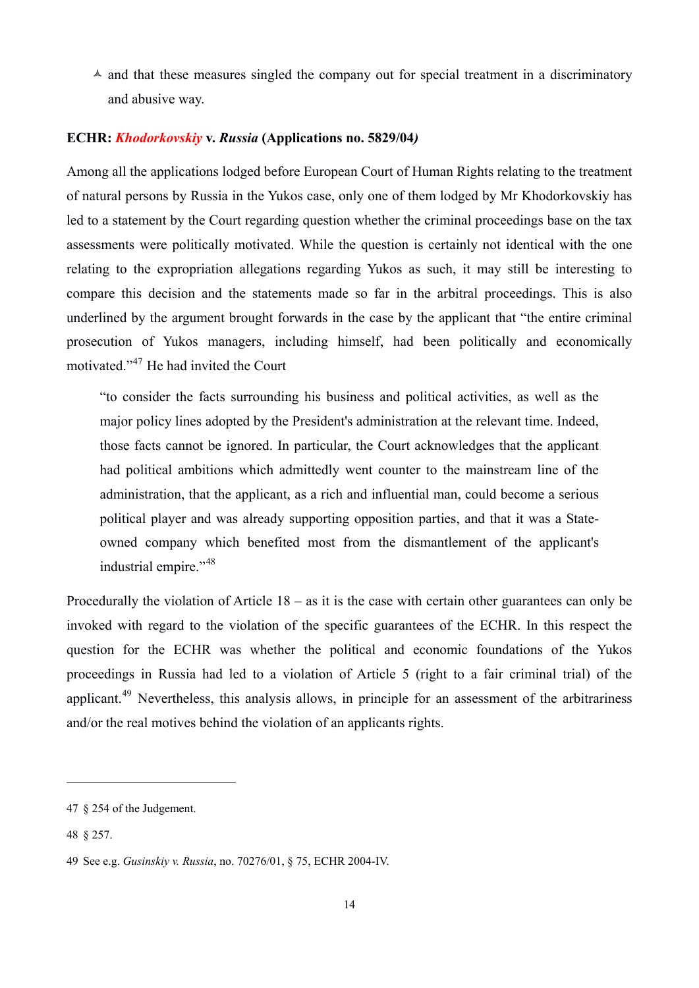$\triangle$  and that these measures singled the company out for special treatment in a discriminatory and abusive way.

# **ECHR:** *Khodorkovskiy* **v.** *Russia* **(Applications no. 5829/04***)*

Among all the applications lodged before European Court of Human Rights relating to the treatment of natural persons by Russia in the Yukos case, only one of them lodged by Mr Khodorkovskiy has led to a statement by the Court regarding question whether the criminal proceedings base on the tax assessments were politically motivated. While the question is certainly not identical with the one relating to the expropriation allegations regarding Yukos as such, it may still be interesting to compare this decision and the statements made so far in the arbitral proceedings. This is also underlined by the argument brought forwards in the case by the applicant that "the entire criminal prosecution of Yukos managers, including himself, had been politically and economically motivated."[47](#page-14-0) He had invited the Court

"to consider the facts surrounding his business and political activities, as well as the major policy lines adopted by the President's administration at the relevant time. Indeed, those facts cannot be ignored. In particular, the Court acknowledges that the applicant had political ambitions which admittedly went counter to the mainstream line of the administration, that the applicant, as a rich and influential man, could become a serious political player and was already supporting opposition parties, and that it was a Stateowned company which benefited most from the dismantlement of the applicant's industrial empire."<sup>[48](#page-14-1)</sup>

Procedurally the violation of Article 18 – as it is the case with certain other guarantees can only be invoked with regard to the violation of the specific guarantees of the ECHR. In this respect the question for the ECHR was whether the political and economic foundations of the Yukos proceedings in Russia had led to a violation of Article 5 (right to a fair criminal trial) of the applicant.<sup>[49](#page-14-2)</sup> Nevertheless, this analysis allows, in principle for an assessment of the arbitrariness and/or the real motives behind the violation of an applicants rights.

<span id="page-14-0"></span><sup>47 § 254</sup> of the Judgement.

<span id="page-14-1"></span><sup>48 § 257.</sup> 

<span id="page-14-2"></span><sup>49</sup> See e.g. *Gusinskiy v. Russia*, no. 70276/01, § 75, ECHR 2004-IV.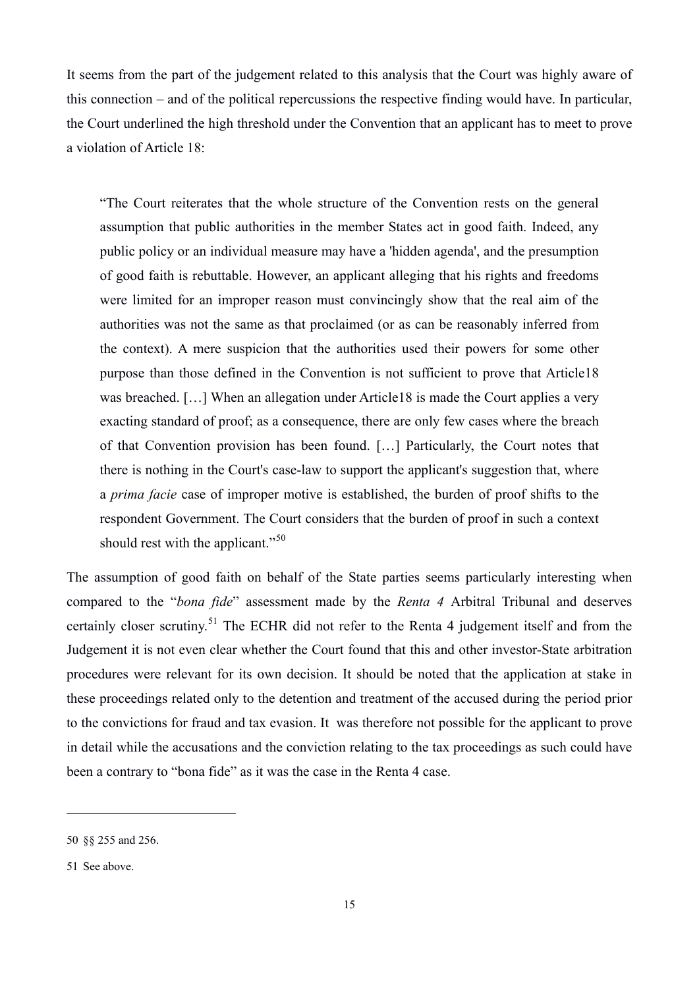It seems from the part of the judgement related to this analysis that the Court was highly aware of this connection – and of the political repercussions the respective finding would have. In particular, the Court underlined the high threshold under the Convention that an applicant has to meet to prove a violation of Article 18:

"The Court reiterates that the whole structure of the Convention rests on the general assumption that public authorities in the member States act in good faith. Indeed, any public policy or an individual measure may have a 'hidden agenda', and the presumption of good faith is rebuttable. However, an applicant alleging that his rights and freedoms were limited for an improper reason must convincingly show that the real aim of the authorities was not the same as that proclaimed (or as can be reasonably inferred from the context). A mere suspicion that the authorities used their powers for some other purpose than those defined in the Convention is not sufficient to prove that Article18 was breached. […] When an allegation under Article18 is made the Court applies a very exacting standard of proof; as a consequence, there are only few cases where the breach of that Convention provision has been found. […] Particularly, the Court notes that there is nothing in the Court's case-law to support the applicant's suggestion that, where a *prima facie* case of improper motive is established, the burden of proof shifts to the respondent Government. The Court considers that the burden of proof in such a context should rest with the applicant."<sup>[50](#page-15-0)</sup>

The assumption of good faith on behalf of the State parties seems particularly interesting when compared to the "*bona fide*" assessment made by the *Renta 4* Arbitral Tribunal and deserves certainly closer scrutiny.[51](#page-15-1) The ECHR did not refer to the Renta 4 judgement itself and from the Judgement it is not even clear whether the Court found that this and other investor-State arbitration procedures were relevant for its own decision. It should be noted that the application at stake in these proceedings related only to the detention and treatment of the accused during the period prior to the convictions for fraud and tax evasion. It was therefore not possible for the applicant to prove in detail while the accusations and the conviction relating to the tax proceedings as such could have been a contrary to "bona fide" as it was the case in the Renta 4 case.

<span id="page-15-0"></span><sup>50 §§ 255</sup> and 256.

<span id="page-15-1"></span><sup>51</sup> See above.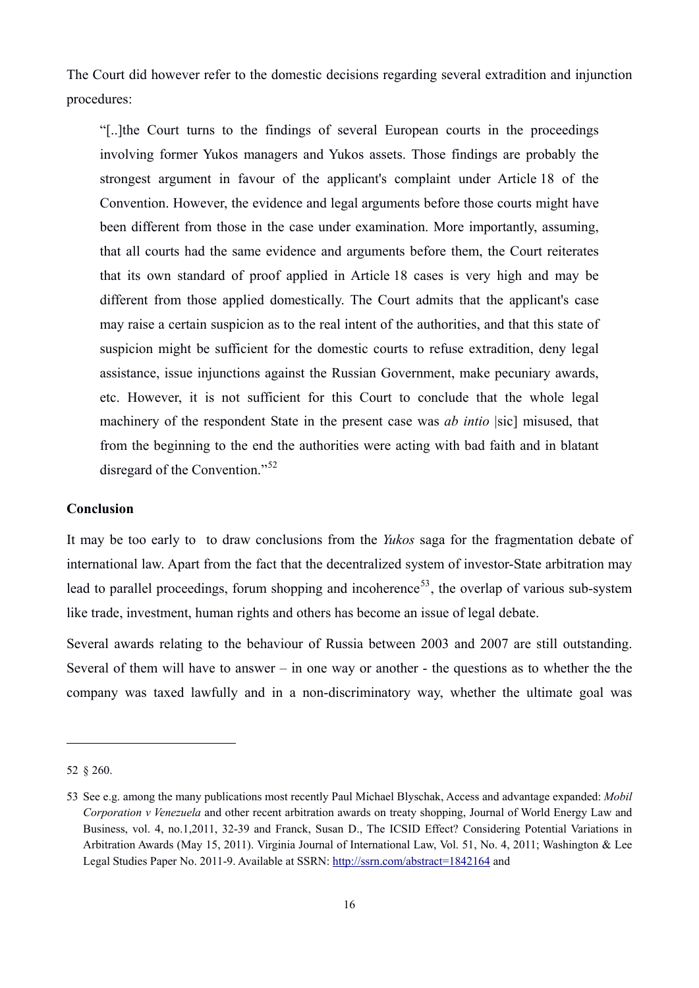The Court did however refer to the domestic decisions regarding several extradition and injunction procedures:

"[..]the Court turns to the findings of several European courts in the proceedings involving former Yukos managers and Yukos assets. Those findings are probably the strongest argument in favour of the applicant's complaint under Article 18 of the Convention. However, the evidence and legal arguments before those courts might have been different from those in the case under examination. More importantly, assuming, that all courts had the same evidence and arguments before them, the Court reiterates that its own standard of proof applied in Article 18 cases is very high and may be different from those applied domestically. The Court admits that the applicant's case may raise a certain suspicion as to the real intent of the authorities, and that this state of suspicion might be sufficient for the domestic courts to refuse extradition, deny legal assistance, issue injunctions against the Russian Government, make pecuniary awards, etc. However, it is not sufficient for this Court to conclude that the whole legal machinery of the respondent State in the present case was *ab intio* |sic] misused, that from the beginning to the end the authorities were acting with bad faith and in blatant disregard of the Convention."<sup>[52](#page-16-0)</sup>

#### **Conclusion**

It may be too early to to draw conclusions from the *Yukos* saga for the fragmentation debate of international law. Apart from the fact that the decentralized system of investor-State arbitration may lead to parallel proceedings, forum shopping and incoherence<sup>[53](#page-16-1)</sup>, the overlap of various sub-system like trade, investment, human rights and others has become an issue of legal debate.

Several awards relating to the behaviour of Russia between 2003 and 2007 are still outstanding. Several of them will have to answer – in one way or another - the questions as to whether the the company was taxed lawfully and in a non-discriminatory way, whether the ultimate goal was

<span id="page-16-0"></span><sup>52 § 260.</sup> 

<span id="page-16-1"></span><sup>53</sup> See e.g. among the many publications most recently Paul Michael Blyschak, Access and advantage expanded: *Mobil Corporation v Venezuela* and other recent arbitration awards on treaty shopping, Journal of World Energy Law and Business, vol. 4, no.1,2011, 32-39 and Franck, Susan D., The ICSID Effect? Considering Potential Variations in Arbitration Awards (May 15, 2011). Virginia Journal of International Law, Vol. 51, No. 4, 2011; Washington & Lee Legal Studies Paper No. 2011-9. Available at SSRN:<http://ssrn.com/abstract=1842164>and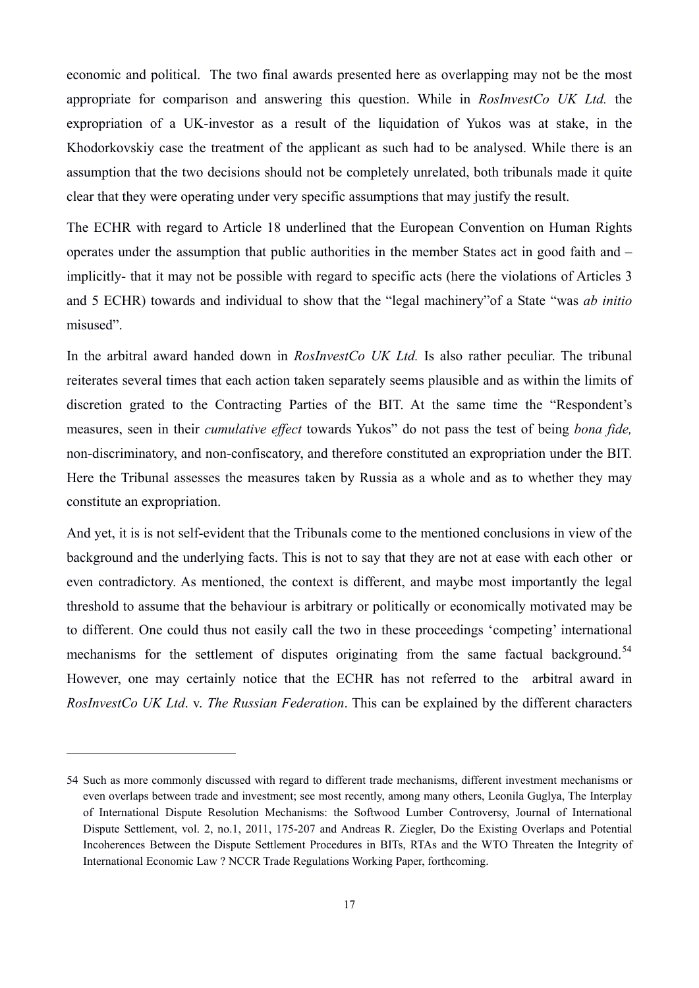economic and political. The two final awards presented here as overlapping may not be the most appropriate for comparison and answering this question. While in *RosInvestCo UK Ltd.* the expropriation of a UK-investor as a result of the liquidation of Yukos was at stake, in the Khodorkovskiy case the treatment of the applicant as such had to be analysed. While there is an assumption that the two decisions should not be completely unrelated, both tribunals made it quite clear that they were operating under very specific assumptions that may justify the result.

The ECHR with regard to Article 18 underlined that the European Convention on Human Rights operates under the assumption that public authorities in the member States act in good faith and – implicitly- that it may not be possible with regard to specific acts (here the violations of Articles 3 and 5 ECHR) towards and individual to show that the "legal machinery"of a State "was *ab initio* misused".

In the arbitral award handed down in *RosInvestCo UK Ltd.* Is also rather peculiar. The tribunal reiterates several times that each action taken separately seems plausible and as within the limits of discretion grated to the Contracting Parties of the BIT. At the same time the "Respondent's measures, seen in their *cumulative effect* towards Yukos" do not pass the test of being *bona fide,* non-discriminatory, and non-confiscatory, and therefore constituted an expropriation under the BIT. Here the Tribunal assesses the measures taken by Russia as a whole and as to whether they may constitute an expropriation.

And yet, it is is not self-evident that the Tribunals come to the mentioned conclusions in view of the background and the underlying facts. This is not to say that they are not at ease with each other or even contradictory. As mentioned, the context is different, and maybe most importantly the legal threshold to assume that the behaviour is arbitrary or politically or economically motivated may be to different. One could thus not easily call the two in these proceedings 'competing' international mechanisms for the settlement of disputes originating from the same factual background.<sup>[54](#page-17-0)</sup> However, one may certainly notice that the ECHR has not referred to the arbitral award in *RosInvestCo UK Ltd*. v. *The Russian Federation*. This can be explained by the different characters

<span id="page-17-0"></span><sup>54</sup> Such as more commonly discussed with regard to different trade mechanisms, different investment mechanisms or even overlaps between trade and investment; see most recently, among many others, Leonila Guglya, The Interplay of International Dispute Resolution Mechanisms: the Softwood Lumber Controversy, Journal of International Dispute Settlement, vol. 2, no.1, 2011, 175-207 and Andreas R. Ziegler, Do the Existing Overlaps and Potential Incoherences Between the Dispute Settlement Procedures in BITs, RTAs and the WTO Threaten the Integrity of International Economic Law ? NCCR Trade Regulations Working Paper, forthcoming.